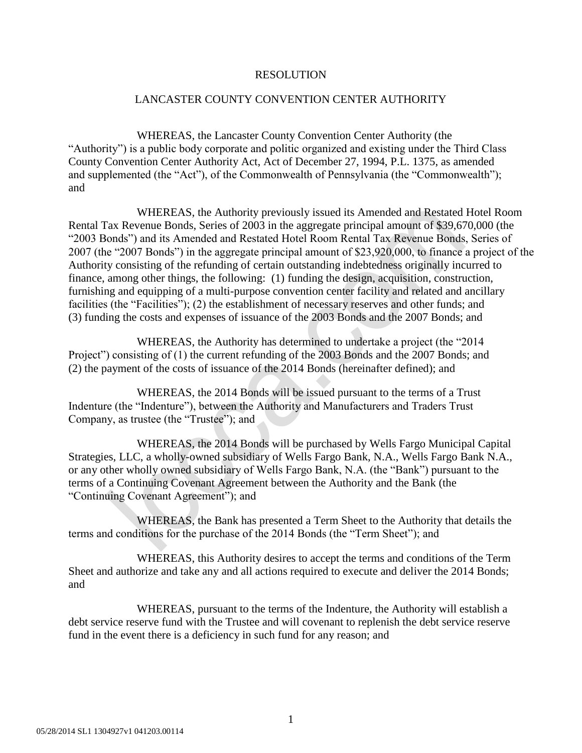## RESOLUTION

## LANCASTER COUNTY CONVENTION CENTER AUTHORITY

WHEREAS, the Lancaster County Convention Center Authority (the "Authority") is a public body corporate and politic organized and existing under the Third Class County Convention Center Authority Act, Act of December 27, 1994, P.L. 1375, as amended and supplemented (the "Act"), of the Commonwealth of Pennsylvania (the "Commonwealth"); and

WHEREAS, the Authority previously issued its Amended and Restated Hotel Room Rental Tax Revenue Bonds, Series of 2003 in the aggregate principal amount of \$39,670,000 (the "2003 Bonds") and its Amended and Restated Hotel Room Rental Tax Revenue Bonds, Series of 2007 (the "2007 Bonds") in the aggregate principal amount of \$23,920,000, to finance a project of the Authority consisting of the refunding of certain outstanding indebtedness originally incurred to finance, among other things, the following: (1) funding the design, acquisition, construction, furnishing and equipping of a multi-purpose convention center facility and related and ancillary facilities (the "Facilities"); (2) the establishment of necessary reserves and other funds; and (3) funding the costs and expenses of issuance of the 2003 Bonds and the 2007 Bonds; and

WHEREAS, the Authority has determined to undertake a project (the "2014 Project") consisting of (1) the current refunding of the 2003 Bonds and the 2007 Bonds; and (2) the payment of the costs of issuance of the 2014 Bonds (hereinafter defined); and

WHEREAS, the 2014 Bonds will be issued pursuant to the terms of a Trust Indenture (the "Indenture"), between the Authority and Manufacturers and Traders Trust Company, as trustee (the "Trustee"); and

WHEREAS, the 2014 Bonds will be purchased by Wells Fargo Municipal Capital Strategies, LLC, a wholly-owned subsidiary of Wells Fargo Bank, N.A., Wells Fargo Bank N.A., or any other wholly owned subsidiary of Wells Fargo Bank, N.A. (the "Bank") pursuant to the terms of a Continuing Covenant Agreement between the Authority and the Bank (the "Continuing Covenant Agreement"); and

WHEREAS, the Bank has presented a Term Sheet to the Authority that details the terms and conditions for the purchase of the 2014 Bonds (the "Term Sheet"); and

WHEREAS, this Authority desires to accept the terms and conditions of the Term Sheet and authorize and take any and all actions required to execute and deliver the 2014 Bonds; and

WHEREAS, pursuant to the terms of the Indenture, the Authority will establish a debt service reserve fund with the Trustee and will covenant to replenish the debt service reserve fund in the event there is a deficiency in such fund for any reason; and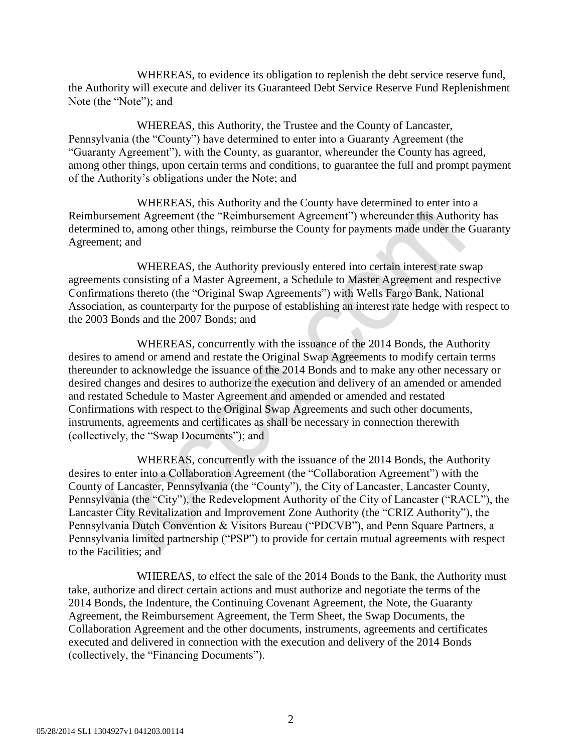WHEREAS, to evidence its obligation to replenish the debt service reserve fund, the Authority will execute and deliver its Guaranteed Debt Service Reserve Fund Replenishment Note (the "Note"); and

WHEREAS, this Authority, the Trustee and the County of Lancaster, Pennsylvania (the "County") have determined to enter into a Guaranty Agreement (the "Guaranty Agreement"), with the County, as guarantor, whereunder the County has agreed, among other things, upon certain terms and conditions, to guarantee the full and prompt payment of the Authority's obligations under the Note; and

WHEREAS, this Authority and the County have determined to enter into a Reimbursement Agreement (the "Reimbursement Agreement") whereunder this Authority has determined to, among other things, reimburse the County for payments made under the Guaranty Agreement; and

WHEREAS, the Authority previously entered into certain interest rate swap agreements consisting of a Master Agreement, a Schedule to Master Agreement and respective Confirmations thereto (the "Original Swap Agreements") with Wells Fargo Bank, National Association, as counterparty for the purpose of establishing an interest rate hedge with respect to the 2003 Bonds and the 2007 Bonds; and

WHEREAS, concurrently with the issuance of the 2014 Bonds, the Authority desires to amend or amend and restate the Original Swap Agreements to modify certain terms thereunder to acknowledge the issuance of the 2014 Bonds and to make any other necessary or desired changes and desires to authorize the execution and delivery of an amended or amended and restated Schedule to Master Agreement and amended or amended and restated Confirmations with respect to the Original Swap Agreements and such other documents, instruments, agreements and certificates as shall be necessary in connection therewith (collectively, the "Swap Documents"); and

WHEREAS, concurrently with the issuance of the 2014 Bonds, the Authority desires to enter into a Collaboration Agreement (the "Collaboration Agreement") with the County of Lancaster, Pennsylvania (the "County"), the City of Lancaster, Lancaster County, Pennsylvania (the "City"), the Redevelopment Authority of the City of Lancaster ("RACL"), the Lancaster City Revitalization and Improvement Zone Authority (the "CRIZ Authority"), the Pennsylvania Dutch Convention & Visitors Bureau ("PDCVB"), and Penn Square Partners, a Pennsylvania limited partnership ("PSP") to provide for certain mutual agreements with respect to the Facilities; and

WHEREAS, to effect the sale of the 2014 Bonds to the Bank, the Authority must take, authorize and direct certain actions and must authorize and negotiate the terms of the 2014 Bonds, the Indenture, the Continuing Covenant Agreement, the Note, the Guaranty Agreement, the Reimbursement Agreement, the Term Sheet, the Swap Documents, the Collaboration Agreement and the other documents, instruments, agreements and certificates executed and delivered in connection with the execution and delivery of the 2014 Bonds (collectively, the "Financing Documents").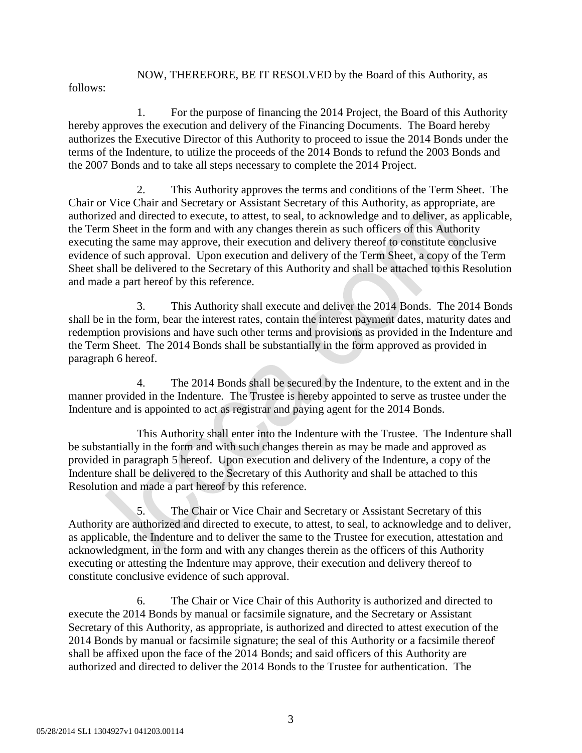NOW, THEREFORE, BE IT RESOLVED by the Board of this Authority, as

follows:

1. For the purpose of financing the 2014 Project, the Board of this Authority hereby approves the execution and delivery of the Financing Documents. The Board hereby authorizes the Executive Director of this Authority to proceed to issue the 2014 Bonds under the terms of the Indenture, to utilize the proceeds of the 2014 Bonds to refund the 2003 Bonds and the 2007 Bonds and to take all steps necessary to complete the 2014 Project.

2. This Authority approves the terms and conditions of the Term Sheet. The Chair or Vice Chair and Secretary or Assistant Secretary of this Authority, as appropriate, are authorized and directed to execute, to attest, to seal, to acknowledge and to deliver, as applicable, the Term Sheet in the form and with any changes therein as such officers of this Authority executing the same may approve, their execution and delivery thereof to constitute conclusive evidence of such approval. Upon execution and delivery of the Term Sheet, a copy of the Term Sheet shall be delivered to the Secretary of this Authority and shall be attached to this Resolution and made a part hereof by this reference.

3. This Authority shall execute and deliver the 2014 Bonds. The 2014 Bonds shall be in the form, bear the interest rates, contain the interest payment dates, maturity dates and redemption provisions and have such other terms and provisions as provided in the Indenture and the Term Sheet. The 2014 Bonds shall be substantially in the form approved as provided in paragraph 6 hereof.

4. The 2014 Bonds shall be secured by the Indenture, to the extent and in the manner provided in the Indenture. The Trustee is hereby appointed to serve as trustee under the Indenture and is appointed to act as registrar and paying agent for the 2014 Bonds.

This Authority shall enter into the Indenture with the Trustee. The Indenture shall be substantially in the form and with such changes therein as may be made and approved as provided in paragraph 5 hereof. Upon execution and delivery of the Indenture, a copy of the Indenture shall be delivered to the Secretary of this Authority and shall be attached to this Resolution and made a part hereof by this reference.

5. The Chair or Vice Chair and Secretary or Assistant Secretary of this Authority are authorized and directed to execute, to attest, to seal, to acknowledge and to deliver, as applicable, the Indenture and to deliver the same to the Trustee for execution, attestation and acknowledgment, in the form and with any changes therein as the officers of this Authority executing or attesting the Indenture may approve, their execution and delivery thereof to constitute conclusive evidence of such approval.

6. The Chair or Vice Chair of this Authority is authorized and directed to execute the 2014 Bonds by manual or facsimile signature, and the Secretary or Assistant Secretary of this Authority, as appropriate, is authorized and directed to attest execution of the 2014 Bonds by manual or facsimile signature; the seal of this Authority or a facsimile thereof shall be affixed upon the face of the 2014 Bonds; and said officers of this Authority are authorized and directed to deliver the 2014 Bonds to the Trustee for authentication. The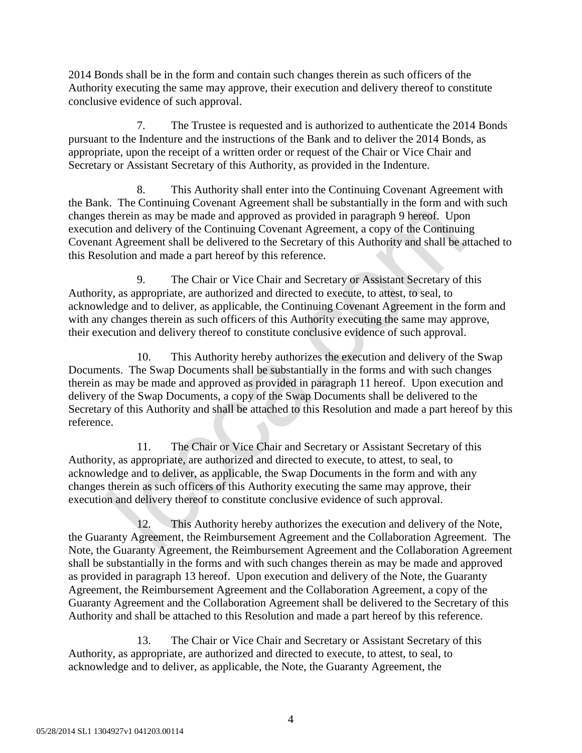2014 Bonds shall be in the form and contain such changes therein as such officers of the Authority executing the same may approve, their execution and delivery thereof to constitute conclusive evidence of such approval.

7. The Trustee is requested and is authorized to authenticate the 2014 Bonds pursuant to the Indenture and the instructions of the Bank and to deliver the 2014 Bonds, as appropriate, upon the receipt of a written order or request of the Chair or Vice Chair and Secretary or Assistant Secretary of this Authority, as provided in the Indenture.

8. This Authority shall enter into the Continuing Covenant Agreement with the Bank. The Continuing Covenant Agreement shall be substantially in the form and with such changes therein as may be made and approved as provided in paragraph 9 hereof. Upon execution and delivery of the Continuing Covenant Agreement, a copy of the Continuing Covenant Agreement shall be delivered to the Secretary of this Authority and shall be attached to this Resolution and made a part hereof by this reference.

9. The Chair or Vice Chair and Secretary or Assistant Secretary of this Authority, as appropriate, are authorized and directed to execute, to attest, to seal, to acknowledge and to deliver, as applicable, the Continuing Covenant Agreement in the form and with any changes therein as such officers of this Authority executing the same may approve, their execution and delivery thereof to constitute conclusive evidence of such approval.

10. This Authority hereby authorizes the execution and delivery of the Swap Documents. The Swap Documents shall be substantially in the forms and with such changes therein as may be made and approved as provided in paragraph 11 hereof. Upon execution and delivery of the Swap Documents, a copy of the Swap Documents shall be delivered to the Secretary of this Authority and shall be attached to this Resolution and made a part hereof by this reference.

11. The Chair or Vice Chair and Secretary or Assistant Secretary of this Authority, as appropriate, are authorized and directed to execute, to attest, to seal, to acknowledge and to deliver, as applicable, the Swap Documents in the form and with any changes therein as such officers of this Authority executing the same may approve, their execution and delivery thereof to constitute conclusive evidence of such approval.

12. This Authority hereby authorizes the execution and delivery of the Note, the Guaranty Agreement, the Reimbursement Agreement and the Collaboration Agreement. The Note, the Guaranty Agreement, the Reimbursement Agreement and the Collaboration Agreement shall be substantially in the forms and with such changes therein as may be made and approved as provided in paragraph 13 hereof. Upon execution and delivery of the Note, the Guaranty Agreement, the Reimbursement Agreement and the Collaboration Agreement, a copy of the Guaranty Agreement and the Collaboration Agreement shall be delivered to the Secretary of this Authority and shall be attached to this Resolution and made a part hereof by this reference.

13. The Chair or Vice Chair and Secretary or Assistant Secretary of this Authority, as appropriate, are authorized and directed to execute, to attest, to seal, to acknowledge and to deliver, as applicable, the Note, the Guaranty Agreement, the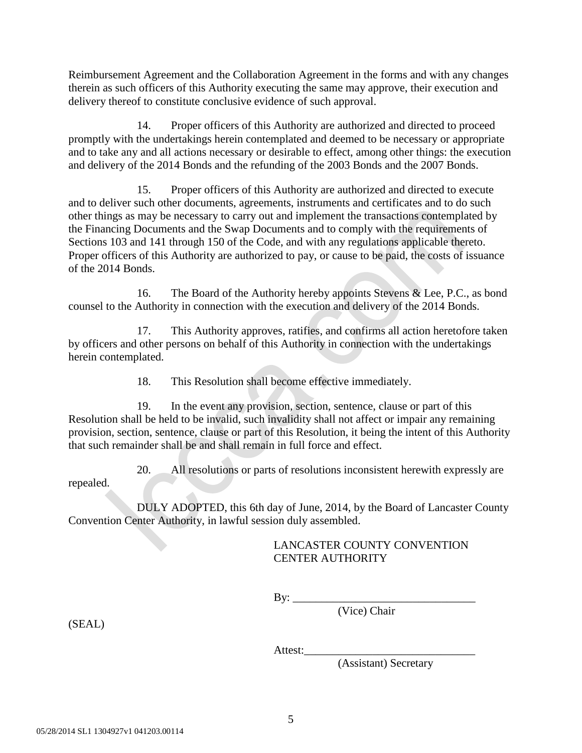Reimbursement Agreement and the Collaboration Agreement in the forms and with any changes therein as such officers of this Authority executing the same may approve, their execution and delivery thereof to constitute conclusive evidence of such approval.

14. Proper officers of this Authority are authorized and directed to proceed promptly with the undertakings herein contemplated and deemed to be necessary or appropriate and to take any and all actions necessary or desirable to effect, among other things: the execution and delivery of the 2014 Bonds and the refunding of the 2003 Bonds and the 2007 Bonds.

15. Proper officers of this Authority are authorized and directed to execute and to deliver such other documents, agreements, instruments and certificates and to do such other things as may be necessary to carry out and implement the transactions contemplated by the Financing Documents and the Swap Documents and to comply with the requirements of Sections 103 and 141 through 150 of the Code, and with any regulations applicable thereto. Proper officers of this Authority are authorized to pay, or cause to be paid, the costs of issuance of the 2014 Bonds.

16. The Board of the Authority hereby appoints Stevens & Lee, P.C., as bond counsel to the Authority in connection with the execution and delivery of the 2014 Bonds.

17. This Authority approves, ratifies, and confirms all action heretofore taken by officers and other persons on behalf of this Authority in connection with the undertakings herein contemplated.

18. This Resolution shall become effective immediately.

19. In the event any provision, section, sentence, clause or part of this Resolution shall be held to be invalid, such invalidity shall not affect or impair any remaining provision, section, sentence, clause or part of this Resolution, it being the intent of this Authority that such remainder shall be and shall remain in full force and effect.

20. All resolutions or parts of resolutions inconsistent herewith expressly are

repealed.

DULY ADOPTED, this 6th day of June, 2014, by the Board of Lancaster County Convention Center Authority, in lawful session duly assembled.

## LANCASTER COUNTY CONVENTION CENTER AUTHORITY

 $\mathbf{By:} \_\_$ 

(Vice) Chair

(SEAL)

Attest:\_\_\_\_\_\_\_\_\_\_\_\_\_\_\_\_\_\_\_\_\_\_\_\_\_\_\_\_\_\_

(Assistant) Secretary